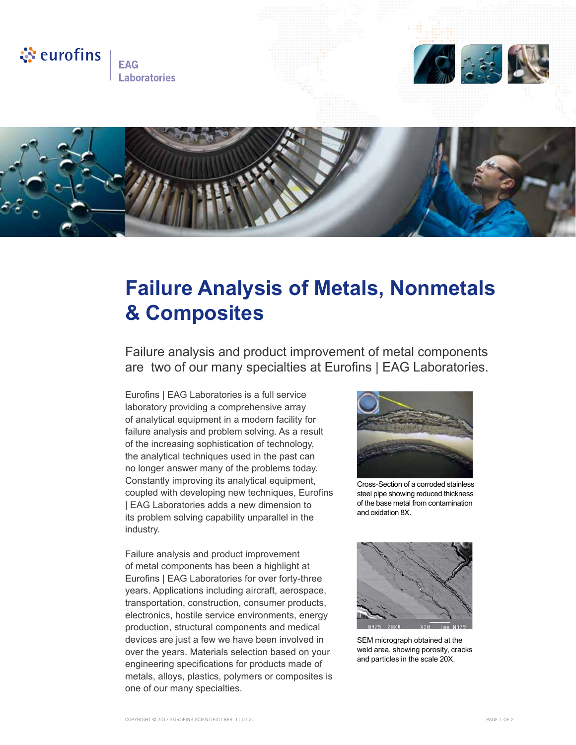

**FAG Laboratories** 





## **Failure Analysis of Metals, Nonmetals & Composites**

Failure analysis and product improvement of metal components are two of our many specialties at Eurofins | EAG Laboratories.

Eurofins | EAG Laboratories is a full service laboratory providing a comprehensive array of analytical equipment in a modern facility for failure analysis and problem solving. As a result of the increasing sophistication of technology, the analytical techniques used in the past can no longer answer many of the problems today. Constantly improving its analytical equipment, coupled with developing new techniques, Eurofins | EAG Laboratories adds a new dimension to its problem solving capability unparallel in the industry.

Failure analysis and product improvement of metal components has been a highlight at Eurofins | EAG Laboratories for over forty-three years. Applications including aircraft, aerospace, transportation, construction, consumer products, electronics, hostile service environments, energy production, structural components and medical devices are just a few we have been involved in over the years. Materials selection based on your engineering specifications for products made of metals, alloys, plastics, polymers or composites is one of our many specialties.



Cross-Section of a corroded stainless steel pipe showing reduced thickness of the base metal from contamination and oxidation 8X.



SEM micrograph obtained at the weld area, showing porosity, cracks and particles in the scale 20X.